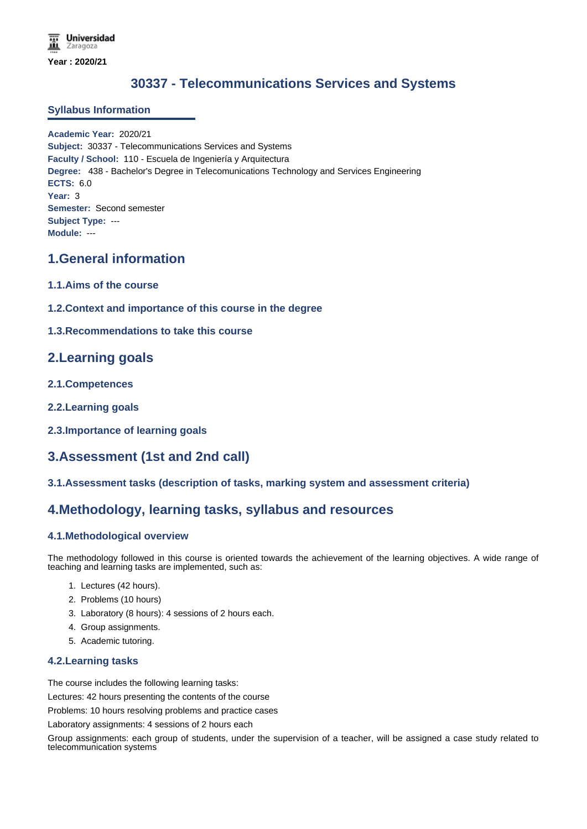# **30337 - Telecommunications Services and Systems**

#### **Syllabus Information**

**Academic Year:** 2020/21 **Subject:** 30337 - Telecommunications Services and Systems **Faculty / School:** 110 - Escuela de Ingeniería y Arquitectura **Degree:** 438 - Bachelor's Degree in Telecomunications Technology and Services Engineering **ECTS:** 6.0 **Year:** 3 **Semester:** Second semester **Subject Type:** --- **Module:** ---

## **1.General information**

- **1.1.Aims of the course**
- **1.2.Context and importance of this course in the degree**
- **1.3.Recommendations to take this course**

## **2.Learning goals**

- **2.1.Competences**
- **2.2.Learning goals**
- **2.3.Importance of learning goals**

# **3.Assessment (1st and 2nd call)**

**3.1.Assessment tasks (description of tasks, marking system and assessment criteria)**

### **4.Methodology, learning tasks, syllabus and resources**

### **4.1.Methodological overview**

The methodology followed in this course is oriented towards the achievement of the learning objectives. A wide range of teaching and learning tasks are implemented, such as:

- 1. Lectures (42 hours).
- 2. Problems (10 hours)
- 3. Laboratory (8 hours): 4 sessions of 2 hours each.
- 4. Group assignments.
- 5. Academic tutoring.

#### **4.2.Learning tasks**

The course includes the following learning tasks:

Lectures: 42 hours presenting the contents of the course

Problems: 10 hours resolving problems and practice cases

Laboratory assignments: 4 sessions of 2 hours each

Group assignments: each group of students, under the supervision of a teacher, will be assigned a case study related to telecommunication systems